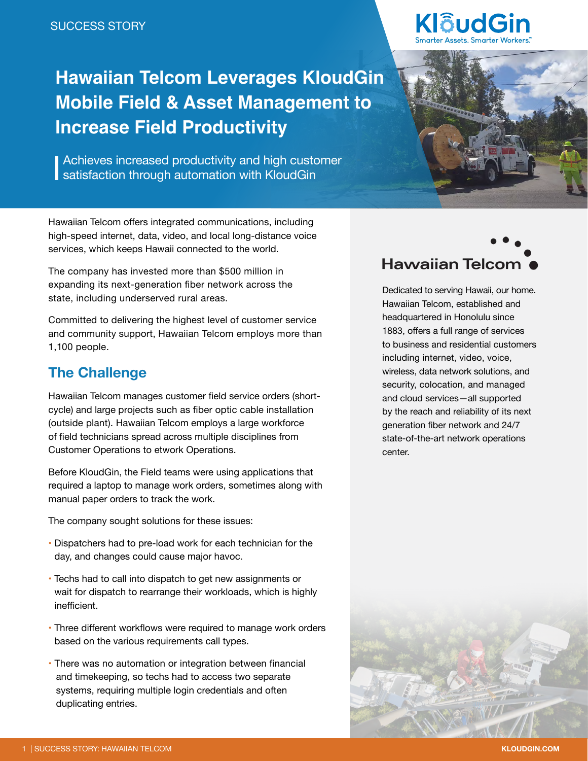# **Hawaiian Telcom Leverages KloudGin Mobile Field & Asset Management to Increase Field Productivity**

**Achieves increased productivity and high customer** satisfaction through automation with KloudGin

Hawaiian Telcom offers integrated communications, including high-speed internet, data, video, and local long-distance voice

services, which keeps Hawaii connected to the world.

The company has invested more than \$500 million in expanding its next-generation fiber network across the

state, including underserved rural areas.





Dedicated to serving Hawaii, our home. Hawaiian Telcom, established and headquartered in Honolulu since 1883, offers a full range of services to business and residential customers including internet, video, voice, wireless, data network solutions, and security, colocation, and managed and cloud services—all supported by the reach and reliability of its next generation fiber network and 24/7 state-of-the-art network operations center.

Committed to delivering the highest level of customer service and community support, Hawaiian Telcom employs more than

## **The Challenge**

1,100 people.

Hawaiian Telcom manages customer field service orders (shortcycle) and large projects such as fiber optic cable installation (outside plant). Hawaiian Telcom employs a large workforce of field technicians spread across multiple disciplines from Customer Operations to etwork Operations.

Before KloudGin, the Field teams were using applications that required a laptop to manage work orders, sometimes along with manual paper orders to track the work.

The company sought solutions for these issues:

- Dispatchers had to pre-load work for each technician for the day, and changes could cause major havoc.
- Techs had to call into dispatch to get new assignments or wait for dispatch to rearrange their workloads, which is highly inefficient.
- Three different workflows were required to manage work orders based on the various requirements call types.
- There was no automation or integration between financial and timekeeping, so techs had to access two separate systems, requiring multiple login credentials and often duplicating entries.

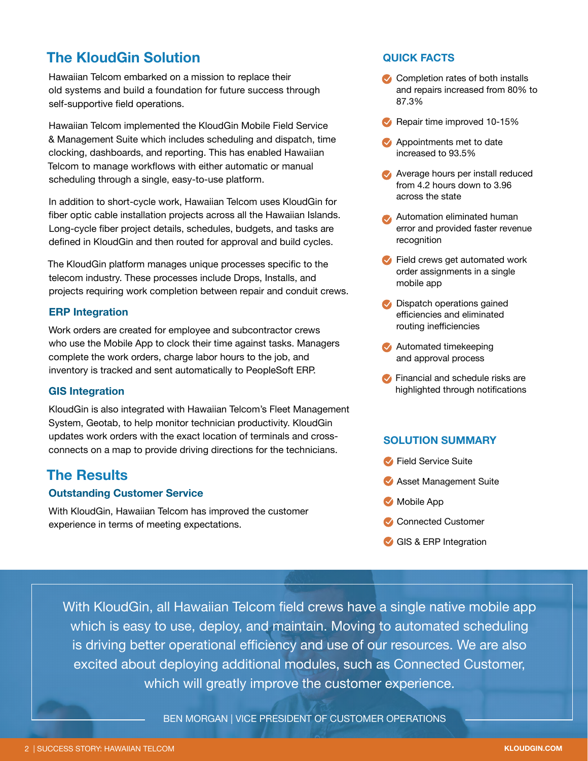### **The KloudGin Solution**

Hawaiian Telcom embarked on a mission to replace their old systems and build a foundation for future success through self-supportive field operations.

Hawaiian Telcom implemented the KloudGin Mobile Field Service & Management Suite which includes scheduling and dispatch, time clocking, dashboards, and reporting. This has enabled Hawaiian Telcom to manage workflows with either automatic or manual scheduling through a single, easy-to-use platform.

In addition to short-cycle work, Hawaiian Telcom uses KloudGin for fiber optic cable installation projects across all the Hawaiian Islands. Long-cycle fiber project details, schedules, budgets, and tasks are defined in KloudGin and then routed for approval and build cycles.

The KloudGin platform manages unique processes specific to the telecom industry. These processes include Drops, Installs, and projects requiring work completion between repair and conduit crews.

#### **ERP Integration**

Work orders are created for employee and subcontractor crews who use the Mobile App to clock their time against tasks. Managers complete the work orders, charge labor hours to the job, and inventory is tracked and sent automatically to PeopleSoft ERP.

#### **GIS Integration**

KloudGin is also integrated with Hawaiian Telcom's Fleet Management System, Geotab, to help monitor technician productivity. KloudGin updates work orders with the exact location of terminals and crossconnects on a map to provide driving directions for the technicians.

### **The Results**

#### **Outstanding Customer Service**

With KloudGin, Hawaiian Telcom has improved the customer experience in terms of meeting expectations.

#### **QUICK FACTS**

- **Completion rates of both installs** and repairs increased from 80% to 87.3%
- **Repair time improved 10-15%**
- **Appointments met to date** increased to 93.5%
- **Average hours per install reduced** from 4.2 hours down to 3.96 across the state
- **Automation eliminated human** error and provided faster revenue recognition
- **•** Field crews get automated work order assignments in a single mobile app
- **Dispatch operations gained** efficiencies and eliminated routing inefficiencies
- **Automated timekeeping** and approval process
- **Financial and schedule risks are** highlighted through notifications

#### **SOLUTION SUMMARY**

- **Field Service Suite**
- **Asset Management Suite**
- Mobile App
- **Connected Customer**
- GIS & ERP Integration

With KloudGin, all Hawaiian Telcom field crews have a single native mobile app which is easy to use, deploy, and maintain. Moving to automated scheduling is driving better operational efficiency and use of our resources. We are also excited about deploying additional modules, such as Connected Customer, which will greatly improve the customer experience.

BEN MORGAN | VICE PRESIDENT OF CUSTOMER OPERATIONS